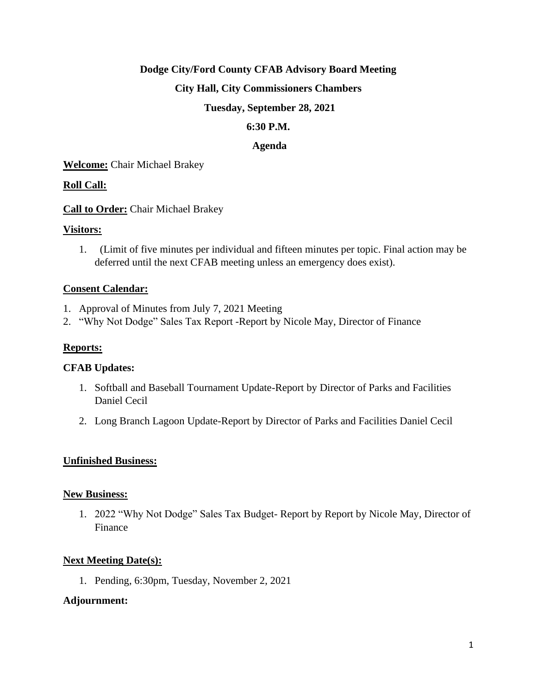## **Dodge City/Ford County CFAB Advisory Board Meeting**

## **City Hall, City Commissioners Chambers**

## **Tuesday, September 28, 2021**

## **6:30 P.M.**

## **Agenda**

**Welcome:** Chair Michael Brakey

## **Roll Call:**

**Call to Order:** Chair Michael Brakey

## **Visitors:**

1. (Limit of five minutes per individual and fifteen minutes per topic. Final action may be deferred until the next CFAB meeting unless an emergency does exist).

## **Consent Calendar:**

- 1. Approval of Minutes from July 7, 2021 Meeting
- 2. "Why Not Dodge" Sales Tax Report -Report by Nicole May, Director of Finance

## **Reports:**

## **CFAB Updates:**

- 1. Softball and Baseball Tournament Update-Report by Director of Parks and Facilities Daniel Cecil
- 2. Long Branch Lagoon Update-Report by Director of Parks and Facilities Daniel Cecil

## **Unfinished Business:**

## **New Business:**

1. 2022 "Why Not Dodge" Sales Tax Budget- Report by Report by Nicole May, Director of Finance

## **Next Meeting Date(s):**

1. Pending, 6:30pm, Tuesday, November 2, 2021

## **Adjournment:**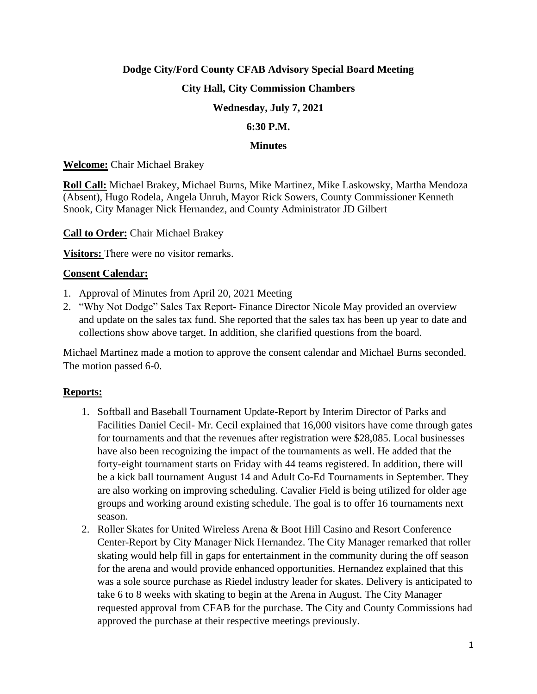# **Dodge City/Ford County CFAB Advisory Special Board Meeting**

## **City Hall, City Commission Chambers**

## **Wednesday, July 7, 2021**

## **6:30 P.M.**

#### **Minutes**

**Welcome:** Chair Michael Brakey

**Roll Call:** Michael Brakey, Michael Burns, Mike Martinez, Mike Laskowsky, Martha Mendoza (Absent), Hugo Rodela, Angela Unruh, Mayor Rick Sowers, County Commissioner Kenneth Snook, City Manager Nick Hernandez, and County Administrator JD Gilbert

#### **Call to Order:** Chair Michael Brakey

**Visitors:** There were no visitor remarks.

## **Consent Calendar:**

- 1. Approval of Minutes from April 20, 2021 Meeting
- 2. "Why Not Dodge" Sales Tax Report- Finance Director Nicole May provided an overview and update on the sales tax fund. She reported that the sales tax has been up year to date and collections show above target. In addition, she clarified questions from the board.

Michael Martinez made a motion to approve the consent calendar and Michael Burns seconded. The motion passed 6-0.

## **Reports:**

- 1. Softball and Baseball Tournament Update-Report by Interim Director of Parks and Facilities Daniel Cecil- Mr. Cecil explained that 16,000 visitors have come through gates for tournaments and that the revenues after registration were \$28,085. Local businesses have also been recognizing the impact of the tournaments as well. He added that the forty-eight tournament starts on Friday with 44 teams registered. In addition, there will be a kick ball tournament August 14 and Adult Co-Ed Tournaments in September. They are also working on improving scheduling. Cavalier Field is being utilized for older age groups and working around existing schedule. The goal is to offer 16 tournaments next season.
- 2. Roller Skates for United Wireless Arena & Boot Hill Casino and Resort Conference Center-Report by City Manager Nick Hernandez. The City Manager remarked that roller skating would help fill in gaps for entertainment in the community during the off season for the arena and would provide enhanced opportunities. Hernandez explained that this was a sole source purchase as Riedel industry leader for skates. Delivery is anticipated to take 6 to 8 weeks with skating to begin at the Arena in August. The City Manager requested approval from CFAB for the purchase. The City and County Commissions had approved the purchase at their respective meetings previously.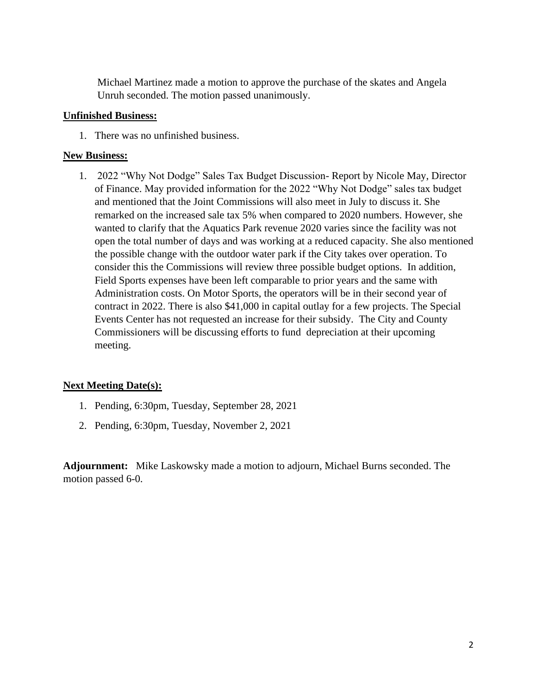Michael Martinez made a motion to approve the purchase of the skates and Angela Unruh seconded. The motion passed unanimously.

## **Unfinished Business:**

1. There was no unfinished business.

## **New Business:**

1. 2022 "Why Not Dodge" Sales Tax Budget Discussion- Report by Nicole May, Director of Finance. May provided information for the 2022 "Why Not Dodge" sales tax budget and mentioned that the Joint Commissions will also meet in July to discuss it. She remarked on the increased sale tax 5% when compared to 2020 numbers. However, she wanted to clarify that the Aquatics Park revenue 2020 varies since the facility was not open the total number of days and was working at a reduced capacity. She also mentioned the possible change with the outdoor water park if the City takes over operation. To consider this the Commissions will review three possible budget options. In addition, Field Sports expenses have been left comparable to prior years and the same with Administration costs. On Motor Sports, the operators will be in their second year of contract in 2022. There is also \$41,000 in capital outlay for a few projects. The Special Events Center has not requested an increase for their subsidy. The City and County Commissioners will be discussing efforts to fund depreciation at their upcoming meeting.

## **Next Meeting Date(s):**

- 1. Pending, 6:30pm, Tuesday, September 28, 2021
- 2. Pending, 6:30pm, Tuesday, November 2, 2021

**Adjournment:** Mike Laskowsky made a motion to adjourn, Michael Burns seconded. The motion passed 6-0.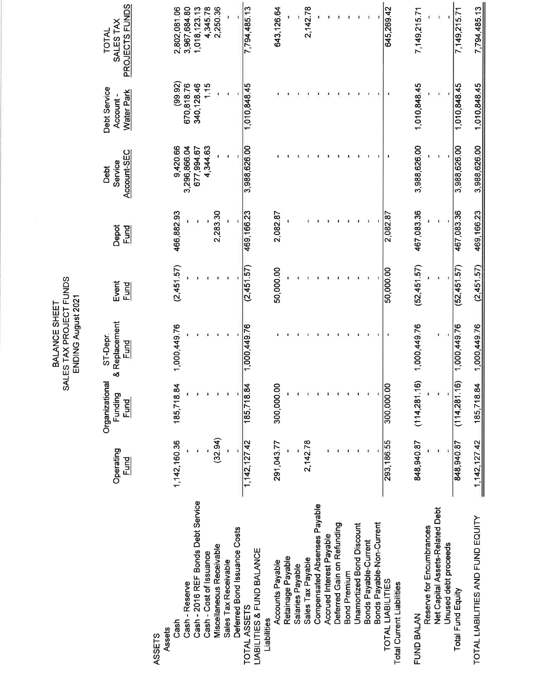PROJECTS FUNDS 1,018,123.13 2,802,081.06 3,967,684.80 4,345.78 2,250.36 794,485.13 643,126.64 2,142.78 645,269.42 7,794,485.13 7,149,215.71 7 149 215 71 SALES TAX TOTAL  $(99.92)$  $1.15$ 670,818.76 340,128.46 1,010,848.45 1,010,848.45 1,010,848.45 1,010,848.45 Debt Service **Water Park** Account-3,988,626.00 9,420.66 3,988,626.00 3,988,626.00 3,296,866.04 677,994.67 4,344.63 3,988,626.00 Account-SEC Service Debt 467,083.36 466,882.93 2,283.30 467,083.36 469, 166.23 469,166.23 2,082.87 2,082.87 Depot<br><u>Fund</u>  $(2,451.57)$  $(52,451.57)$  $(52, 451, 57)$  $(2,451,57)$  $(2,451.57)$ 50,000.00 50,000.00 Event <u>Fund</u> & Replacement  $(114,281.16)$  1,000,449.76 1,000,449.76 1,000,449.76 1,000,449.76 1,000,449.76 ST-Depr. Fund Organizational  $(114, 281.16)$ 185,718.84 185,718.84 185,718.84 300,000.00 300,000.00 Funding <u>Fund</u>  $(32.94)$ 1,142,160.36 848,940.87  $1, 142, 127, 42$ 2,142.78 293, 186.55 848,940.87 1,142,127.42 291,043.77 Operating<br>Eund Cash - 2016 REF Bonds Debt Service Compensated Absenses Payable Net Capital Assets-Related Debt TOTAL LIABILITIES AND FUND EQUITY Deferred Gain on Refunding Bonds Payable-Non-Current **Unamortized Bond Discount** Reserve for Encumbrances Deferred Bond Issuance Costs Accrued Interest Payable Bonds Payable-Current Unused debt proceeds Miscellaneous Receivable LIABILITIES & FUND BALANCE Cash - Cost of Issuance Retainage Payable Sales Tax Payable Sales Tax Receivable Accounts Payable Salaries Payable **Bond Premium** TOTAL LIABILITIES Cash - Reserve **Total Current Liabilities** Total Fund Equity TOTAL ASSETS FUND BALAN Liabilities Cash Assets **ASSETS**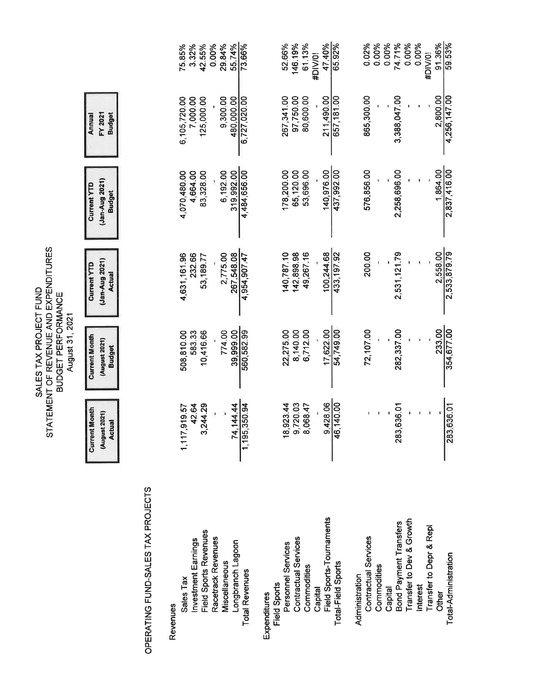|                                                                                                                         |                                                        |                                               | 75.85%<br>3.32%          | 42.55%                                       | 29.84%<br>0.00%                     | 55.74%<br>73.66%                            | 91.36%<br>59.53%<br>0.00%<br>0.00%<br>146.19%<br>47.40%<br>65.92%<br>0.02%<br>0.00%<br>74.71%<br>0.00%<br>52.66%<br>61.13%<br>#DIV/0!<br>#DIV/0!                                                                                                                                                                                                         |
|-------------------------------------------------------------------------------------------------------------------------|--------------------------------------------------------|-----------------------------------------------|--------------------------|----------------------------------------------|-------------------------------------|---------------------------------------------|----------------------------------------------------------------------------------------------------------------------------------------------------------------------------------------------------------------------------------------------------------------------------------------------------------------------------------------------------------|
| STATEMENT OF REVENUE AND EXPENDITURES<br>コミュ<br><b>BUDGET PERFORMANCE</b><br><b>JUNDEL SET SUTES</b><br>August 31, 2021 | <b>Budget</b><br>FY 2021<br>Annual                     |                                               | 6,105,720.00<br>7,000.00 | 125,000.00                                   | 9,300.00                            | 480,000.00<br>6,727,020.00                  | 865,300.00<br>2,800.00<br>267,341.00<br>97,750.00<br>80,600.00<br>211,490.00<br>3,388,047.00<br>4,256,147.00<br>657,181.00                                                                                                                                                                                                                               |
|                                                                                                                         | (Jan-Aug 2021)<br><b>Current YTD</b><br><b>Budget</b>  |                                               | 4,070,480.00<br>4,664.00 | 83,328.00                                    | 6,192.00                            | 4,484,656.00<br>319.992.00                  | 2,837,416.00<br>1,864.00<br>437,992.00<br>576,856.00<br>178,200.00<br>65,120.00<br>53,696.00<br>140,976.00<br>2,258,696.00                                                                                                                                                                                                                               |
|                                                                                                                         | (Jan-Aug 2021)<br><b>Current YTD</b><br><b>Actual</b>  |                                               | 4,631,161.96<br>232.66   | 53,189.77                                    | 2,775.00                            | 267,548.08<br>4,954,907.47                  | 2,533,879.79<br>200.00<br>2,558.00<br>49,267.16<br>433, 197.92<br>2,531,121.79<br>140,787.10<br>142,898.98<br>100,244.68                                                                                                                                                                                                                                 |
|                                                                                                                         | <b>Current Month</b><br>(August 2021)<br><b>Budget</b> |                                               | 508,810.00               | 10,416.66<br>583.33                          | 774.00                              | 560,582.99<br>39,999.00                     | 354,677.00<br>54,749.00<br>72,107.00<br>233.00<br>17,622.00<br>6,712.00<br>282,337.00<br>22,275.00<br>8,140.00                                                                                                                                                                                                                                           |
|                                                                                                                         | <b>Current Month</b><br>(August 2021)<br><b>Actual</b> |                                               | 1,117,919.57             | ,244.29<br>42.64<br>ო                        |                                     | ,350.94<br>.144.44<br>$\mathbf{z}$<br>1,195 | 9,428.06<br>46,140.00<br>9,720.03<br>283,636.01<br>18,923.44<br>8,068.47<br>283,636.01                                                                                                                                                                                                                                                                   |
|                                                                                                                         |                                                        | OPERATING FUND-SALES TAX PROJECTS<br>Revenues | Sales Tax                | Field Sports Revenues<br>Investment Earnings | Racetrack Revenues<br>Miscellaneous | Longbranch Lagoon<br><b>Total Revenues</b>  | Field Sports-Tournaments<br>Transfer to Dev & Growth<br>Bond Payment Transfers<br>Transfer to Depr & Repl<br>Contractual Services<br>Contractual Services<br>Personnel Services<br>Total-Administration<br>Total-Field Sports<br>Commodities<br>Commodities<br>Administration<br>Field Sports<br>Interest<br>Capital<br>Capital<br>Other<br>Expenditures |

SALES TAX PROJECT FUND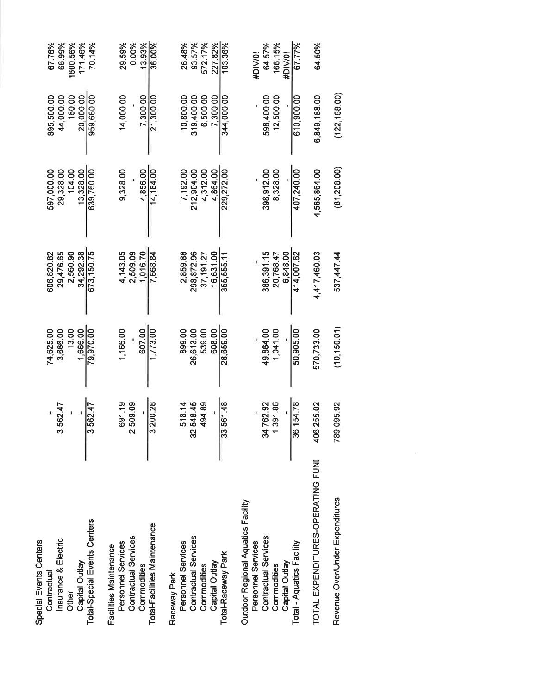| Special Events Centers<br>Contractual |            | 74,625.00    | 606,820.82   | 597.000.00   | 895,500.00    | 67.76%   |
|---------------------------------------|------------|--------------|--------------|--------------|---------------|----------|
| Insurance & Electric                  | 3,562.47   | 3,666.00     | 29,476.65    | 29,328.00    | 44,000.00     | 66.99%   |
| Other                                 |            |              |              |              |               |          |
|                                       |            | 13.00        | 2,560.90     | 104.00       | 160.00        | 1600.56% |
| Capital Outlay                        |            | 1,666.00     | 34,292.38    | 13,328.00    | 20,000.00     | 171.46%  |
| Total-Special Events Centers          | 3,562.47   | 79,970.00    | 673, 150.75  | 639,760.00   | 959,660.00    | 70.14%   |
| Facilities Maintenance                |            |              |              |              |               |          |
| Personnel Services                    | 691.19     | 1,166.00     | 4,143.05     | 9,328.00     | 14,000.00     | 29.59%   |
| Contractual Services                  | 2,509.09   |              | 2,509.09     |              |               | 0.00%    |
| Commodities                           |            | 607.00       | 1.016.70     | 4.856.00     | 7.300.00      | 13.93%   |
| Total-Facilities Maintenance          | 3,200.28   | 1,773.00     | 7.668.84     | 14,184.00    | 21,300.00     | 36.00%   |
| Raceway Park                          |            |              |              |              |               |          |
| Personnel Services                    | 518.14     | 899.00       | 2,859.88     | 7,192.00     | 10.800.00     | 26.48%   |
| Contractual Services                  | 32,548.45  | 26,613.00    | 298.872.96   | 212,904.00   | 319.400.00    | 93.57%   |
| Commodities                           | 494.89     | 539.00       | 37, 191.27   | 4,312.00     | 6,500.00      | 572.17%  |
| Capital Outlay                        |            | 608.00       | 16,631.00    | 4.864.00     | 7.300.00      | 227.82%  |
| Total-Raceway Park                    | 33,561.48  | 28,659.00    | 355,555.11   | 229,272.00   | 344,000.00    | 103.36%  |
| Outdoor Regional Aquatics Facility    |            |              |              |              |               |          |
| Personnel Services                    |            |              |              |              |               | #DIV/0!  |
| Contractual Services                  | 34,762.92  | 49.864.00    | 386,391.15   | 398,912.00   | 598,400.00    | 64.57%   |
| Commodities                           | 1,391.86   | 1,041.00     | 20,768.47    | 8,328.00     | 12,500.00     | 166.15%  |
| Capital Outlay                        |            |              | 6.848.00     |              |               | #DIV/0!  |
| Total - Aquatics Facility             | 36,154.78  | 50,905.00    | 414,007.62   | 407,240.00   | 610,900.00    | 67.77%   |
| TOTAL EXPENDITURES-OPERATING FUNI     | 406,255.02 | 570,733.00   | 4,417,460.03 | 4,565,864.00 | 6,849,188.00  | 64.50%   |
| Revenue Over/Under Expenditures       | 789,095.92 | (10, 150.01) | 537,447.44   | (81, 208.00) | (122, 168.00) |          |

 $\overline{K}$  ).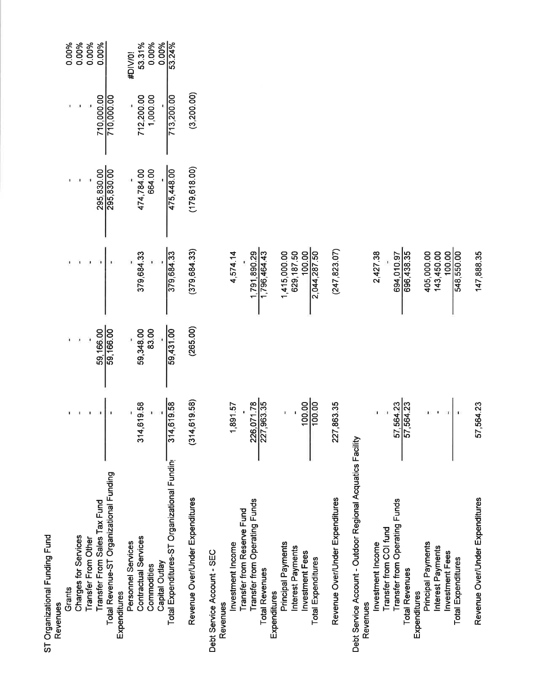| ST Organizational Funding Fund                             |                                 |                                           |                              |                      |                          |                 |
|------------------------------------------------------------|---------------------------------|-------------------------------------------|------------------------------|----------------------|--------------------------|-----------------|
| Revenues                                                   |                                 |                                           |                              |                      |                          |                 |
| Grants                                                     |                                 |                                           |                              |                      |                          | 0.00%           |
| <b>Charges for Services</b>                                |                                 |                                           |                              |                      |                          | 0.00%           |
| Transfer From Other                                        |                                 |                                           |                              |                      |                          | 0.00%           |
| Transfer From Sales Tax Fund                               |                                 |                                           |                              |                      |                          | 0.00%           |
| Total Revenue-ST Organizational Funding                    |                                 | $59,166.00$<br>$59,166.00$<br>$59,166.00$ |                              | 295,830.00           | 710,000.00<br>710,000.00 |                 |
| Personnel Services<br>Expenditures                         |                                 |                                           |                              |                      |                          | #DIV/0!         |
| Contractual Services                                       | 14,619.58<br>$\frac{1}{\infty}$ |                                           |                              |                      |                          |                 |
| Commodities                                                |                                 | 59,348.00<br>83.00                        | 379,684.33                   | 474,784.00<br>664.00 | 712,200.00<br>1,000.00   | 53.31%<br>0.00% |
| Capital Outlay                                             |                                 |                                           |                              |                      |                          | 0.00%           |
| Total Expenditures-ST Organizational Fundin                | 314,619.58                      | 59,431.00                                 | $rac{1}{379,684.33}$         | 475,448.00           | 713,200.00               | 53.24%          |
| Revenue Over/Under Expenditures                            | (314, 619.58)                   | (265.00)                                  | (379, 684, 33)               | (179, 618.00)        | (3, 200.00)              |                 |
| Debt Service Account - SEC                                 |                                 |                                           |                              |                      |                          |                 |
| Revenues                                                   |                                 |                                           |                              |                      |                          |                 |
| Transfer from Reserve Fund<br>Investment Income            | 1,891.57                        |                                           | 4,574.14                     |                      |                          |                 |
| Transfer from Operating Funds                              |                                 |                                           |                              |                      |                          |                 |
| <b>Total Revenues</b>                                      | 226,071.78                      |                                           | 1,791,890.29<br>1,796,464.43 |                      |                          |                 |
| Expenditures                                               |                                 |                                           |                              |                      |                          |                 |
| Principal Payments                                         |                                 |                                           | 1,415,000.00<br>629,187.50   |                      |                          |                 |
| Interest Payments<br>Investment Fees                       |                                 |                                           |                              |                      |                          |                 |
| <b>Total Expenditures</b>                                  | $\frac{10000}{1000}$            |                                           | 100.00                       |                      |                          |                 |
| Revenue Over/Under Expenditures                            | 227,863.35                      |                                           | (247, 823.07)                |                      |                          |                 |
| Debt Service Account - Outdoor Regional Acquatics Facility |                                 |                                           |                              |                      |                          |                 |
| Revenues                                                   |                                 |                                           |                              |                      |                          |                 |
| Transfer from COI fund<br>Investment Income                |                                 |                                           | 2,427.38                     |                      |                          |                 |
| Transfer from Operating Funds                              |                                 |                                           |                              |                      |                          |                 |
| <b>Total Revenues</b>                                      | 57,564.23<br>57,564.23          |                                           | 694,010.97<br>696,438.35     |                      |                          |                 |
| Expenditures                                               |                                 |                                           |                              |                      |                          |                 |
| Principal Payments                                         |                                 |                                           | 405,000.00                   |                      |                          |                 |
| Interest Payments<br>Investment Fees                       |                                 |                                           | 143,450.00<br>100.00         |                      |                          |                 |
| <b>Total Expenditures</b>                                  |                                 |                                           | 548,550.00                   |                      |                          |                 |
| Revenue Over/Under Expenditures                            | 57,564.23                       |                                           | 147,888.35                   |                      |                          |                 |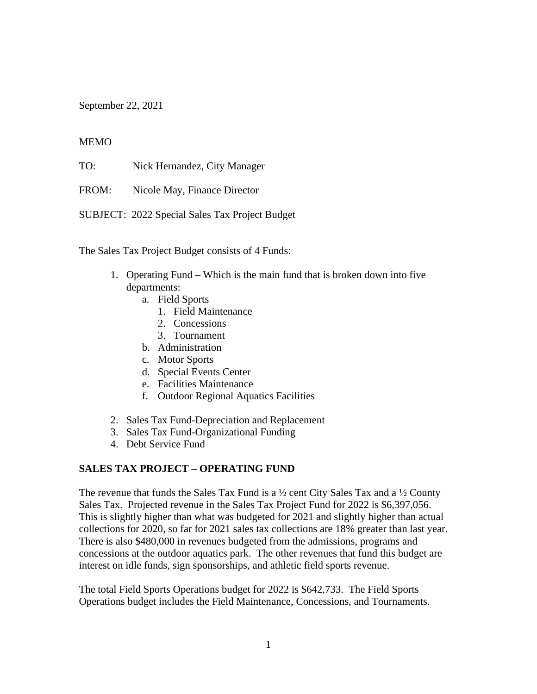September 22, 2021

## **MEMO**

TO: Nick Hernandez, City Manager

FROM: Nicole May, Finance Director

SUBJECT: 2022 Special Sales Tax Project Budget

The Sales Tax Project Budget consists of 4 Funds:

- 1. Operating Fund Which is the main fund that is broken down into five departments:
	- a. Field Sports
		- 1. Field Maintenance
		- 2. Concessions
		- 3. Tournament
	- b. Administration
	- c. Motor Sports
	- d. Special Events Center
	- e. Facilities Maintenance
	- f. Outdoor Regional Aquatics Facilities
- 2. Sales Tax Fund-Depreciation and Replacement
- 3. Sales Tax Fund-Organizational Funding
- 4. Debt Service Fund

## **SALES TAX PROJECT – OPERATING FUND**

The revenue that funds the Sales Tax Fund is a  $\frac{1}{2}$  cent City Sales Tax and a  $\frac{1}{2}$  County Sales Tax. Projected revenue in the Sales Tax Project Fund for 2022 is \$6,397,056. This is slightly higher than what was budgeted for 2021 and slightly higher than actual collections for 2020, so far for 2021 sales tax collections are 18% greater than last year. There is also \$480,000 in revenues budgeted from the admissions, programs and concessions at the outdoor aquatics park. The other revenues that fund this budget are interest on idle funds, sign sponsorships, and athletic field sports revenue.

The total Field Sports Operations budget for 2022 is \$642,733. The Field Sports Operations budget includes the Field Maintenance, Concessions, and Tournaments.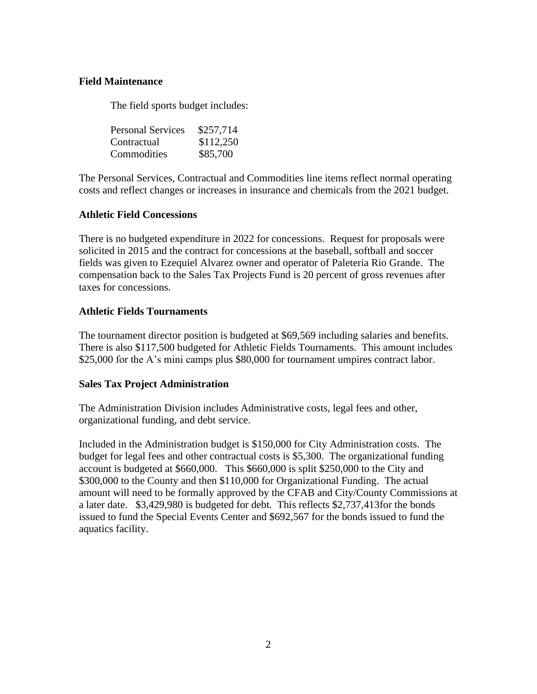## **Field Maintenance**

The field sports budget includes:

| <b>Personal Services</b> | \$257,714 |
|--------------------------|-----------|
| Contractual              | \$112,250 |
| Commodities              | \$85,700  |

The Personal Services, Contractual and Commodities line items reflect normal operating costs and reflect changes or increases in insurance and chemicals from the 2021 budget.

## **Athletic Field Concessions**

There is no budgeted expenditure in 2022 for concessions. Request for proposals were solicited in 2015 and the contract for concessions at the baseball, softball and soccer fields was given to Ezequiel Alvarez owner and operator of Paleteria Rio Grande. The compensation back to the Sales Tax Projects Fund is 20 percent of gross revenues after taxes for concessions.

## **Athletic Fields Tournaments**

The tournament director position is budgeted at \$69,569 including salaries and benefits. There is also \$117,500 budgeted for Athletic Fields Tournaments. This amount includes \$25,000 for the A's mini camps plus \$80,000 for tournament umpires contract labor.

## **Sales Tax Project Administration**

The Administration Division includes Administrative costs, legal fees and other, organizational funding, and debt service.

Included in the Administration budget is \$150,000 for City Administration costs. The budget for legal fees and other contractual costs is \$5,300. The organizational funding account is budgeted at \$660,000. This \$660,000 is split \$250,000 to the City and \$300,000 to the County and then \$110,000 for Organizational Funding. The actual amount will need to be formally approved by the CFAB and City/County Commissions at a later date. \$3,429,980 is budgeted for debt. This reflects \$2,737,413for the bonds issued to fund the Special Events Center and \$692,567 for the bonds issued to fund the aquatics facility.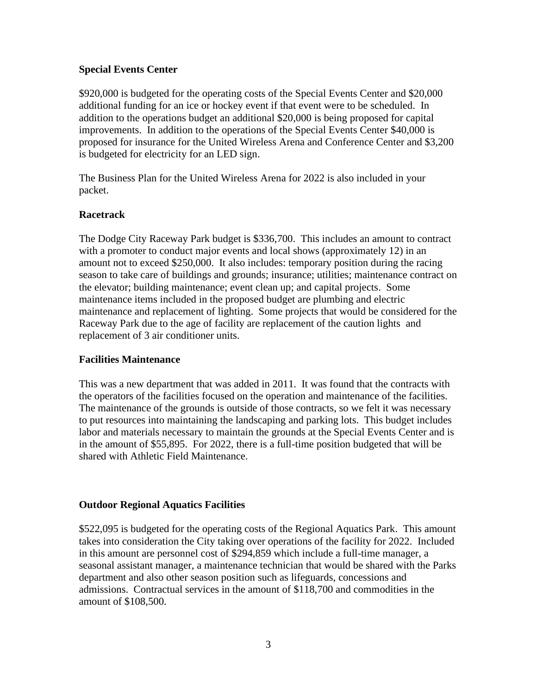## **Special Events Center**

\$920,000 is budgeted for the operating costs of the Special Events Center and \$20,000 additional funding for an ice or hockey event if that event were to be scheduled. In addition to the operations budget an additional \$20,000 is being proposed for capital improvements. In addition to the operations of the Special Events Center \$40,000 is proposed for insurance for the United Wireless Arena and Conference Center and \$3,200 is budgeted for electricity for an LED sign.

The Business Plan for the United Wireless Arena for 2022 is also included in your packet.

## **Racetrack**

The Dodge City Raceway Park budget is \$336,700. This includes an amount to contract with a promoter to conduct major events and local shows (approximately 12) in an amount not to exceed \$250,000. It also includes: temporary position during the racing season to take care of buildings and grounds; insurance; utilities; maintenance contract on the elevator; building maintenance; event clean up; and capital projects. Some maintenance items included in the proposed budget are plumbing and electric maintenance and replacement of lighting. Some projects that would be considered for the Raceway Park due to the age of facility are replacement of the caution lights and replacement of 3 air conditioner units.

## **Facilities Maintenance**

This was a new department that was added in 2011. It was found that the contracts with the operators of the facilities focused on the operation and maintenance of the facilities. The maintenance of the grounds is outside of those contracts, so we felt it was necessary to put resources into maintaining the landscaping and parking lots. This budget includes labor and materials necessary to maintain the grounds at the Special Events Center and is in the amount of \$55,895. For 2022, there is a full-time position budgeted that will be shared with Athletic Field Maintenance.

## **Outdoor Regional Aquatics Facilities**

\$522,095 is budgeted for the operating costs of the Regional Aquatics Park. This amount takes into consideration the City taking over operations of the facility for 2022. Included in this amount are personnel cost of \$294,859 which include a full-time manager, a seasonal assistant manager, a maintenance technician that would be shared with the Parks department and also other season position such as lifeguards, concessions and admissions. Contractual services in the amount of \$118,700 and commodities in the amount of \$108,500.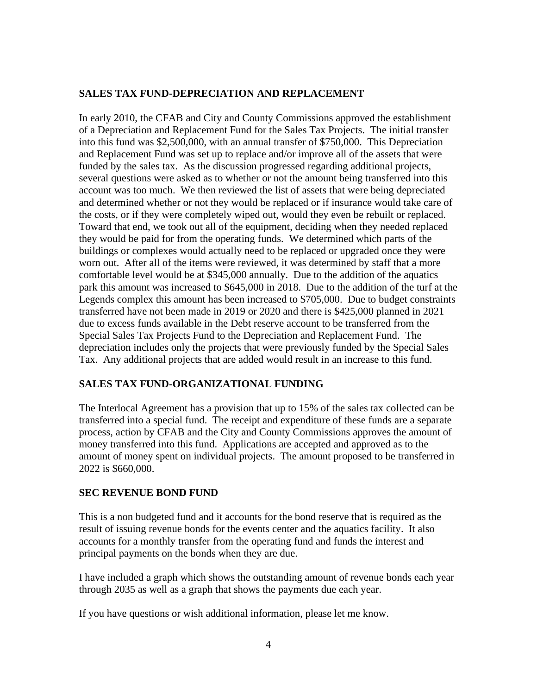## **SALES TAX FUND-DEPRECIATION AND REPLACEMENT**

In early 2010, the CFAB and City and County Commissions approved the establishment of a Depreciation and Replacement Fund for the Sales Tax Projects. The initial transfer into this fund was \$2,500,000, with an annual transfer of \$750,000. This Depreciation and Replacement Fund was set up to replace and/or improve all of the assets that were funded by the sales tax. As the discussion progressed regarding additional projects, several questions were asked as to whether or not the amount being transferred into this account was too much. We then reviewed the list of assets that were being depreciated and determined whether or not they would be replaced or if insurance would take care of the costs, or if they were completely wiped out, would they even be rebuilt or replaced. Toward that end, we took out all of the equipment, deciding when they needed replaced they would be paid for from the operating funds. We determined which parts of the buildings or complexes would actually need to be replaced or upgraded once they were worn out. After all of the items were reviewed, it was determined by staff that a more comfortable level would be at \$345,000 annually. Due to the addition of the aquatics park this amount was increased to \$645,000 in 2018. Due to the addition of the turf at the Legends complex this amount has been increased to \$705,000. Due to budget constraints transferred have not been made in 2019 or 2020 and there is \$425,000 planned in 2021 due to excess funds available in the Debt reserve account to be transferred from the Special Sales Tax Projects Fund to the Depreciation and Replacement Fund. The depreciation includes only the projects that were previously funded by the Special Sales Tax. Any additional projects that are added would result in an increase to this fund.

## **SALES TAX FUND-ORGANIZATIONAL FUNDING**

The Interlocal Agreement has a provision that up to 15% of the sales tax collected can be transferred into a special fund. The receipt and expenditure of these funds are a separate process, action by CFAB and the City and County Commissions approves the amount of money transferred into this fund. Applications are accepted and approved as to the amount of money spent on individual projects. The amount proposed to be transferred in 2022 is \$660,000.

## **SEC REVENUE BOND FUND**

This is a non budgeted fund and it accounts for the bond reserve that is required as the result of issuing revenue bonds for the events center and the aquatics facility. It also accounts for a monthly transfer from the operating fund and funds the interest and principal payments on the bonds when they are due.

I have included a graph which shows the outstanding amount of revenue bonds each year through 2035 as well as a graph that shows the payments due each year.

If you have questions or wish additional information, please let me know.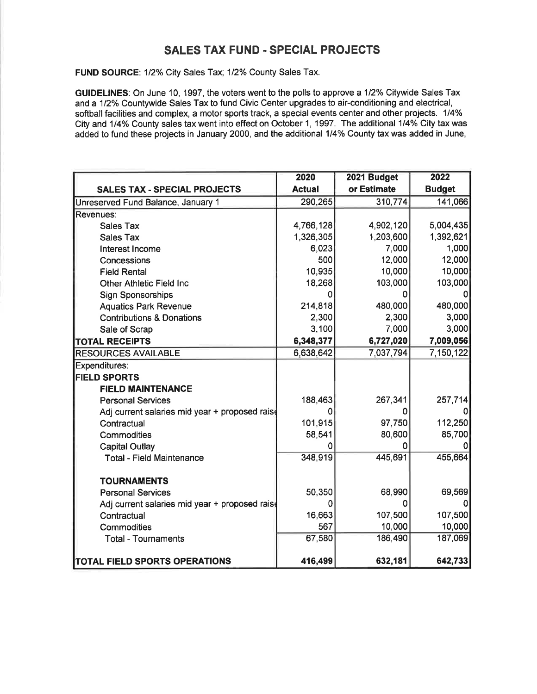## **SALES TAX FUND - SPECIAL PROJECTS**

FUND SOURCE: 1/2% City Sales Tax; 1/2% County Sales Tax.

GUIDELINES: On June 10, 1997, the voters went to the polls to approve a 1/2% Citywide Sales Tax and a 1/2% Countywide Sales Tax to fund Civic Center upgrades to air-conditioning and electrical, softball facilities and complex, a motor sports track, a special events center and other projects. 1/4% City and 1/4% County sales tax went into effect on October 1, 1997. The additional 1/4% City tax was added to fund these projects in January 2000, and the additional 1/4% County tax was added in June,

|                                                | 2020          | 2021 Budget | 2022          |
|------------------------------------------------|---------------|-------------|---------------|
| <b>SALES TAX - SPECIAL PROJECTS</b>            | <b>Actual</b> | or Estimate | <b>Budget</b> |
| Unreserved Fund Balance, January 1             | 290,265       | 310,774     | 141,066       |
| Revenues:                                      |               |             |               |
| <b>Sales Tax</b>                               | 4,766,128     | 4,902,120   | 5,004,435     |
| <b>Sales Tax</b>                               | 1,326,305     | 1,203,600   | 1,392,621     |
| Interest Income                                | 6,023         | 7,000       | 1,000         |
| Concessions                                    | 500           | 12,000      | 12,000        |
| <b>Field Rental</b>                            | 10,935        | 10,000      | 10,000        |
| <b>Other Athletic Field Inc.</b>               | 18,268        | 103,000     | 103,000       |
| <b>Sign Sponsorships</b>                       | 0             |             |               |
| <b>Aquatics Park Revenue</b>                   | 214,818       | 480,000     | 480,000       |
| <b>Contributions &amp; Donations</b>           | 2,300         | 2,300       | 3,000         |
| Sale of Scrap                                  | 3,100         | 7,000       | 3,000         |
| <b>TOTAL RECEIPTS</b>                          | 6,348,377     | 6,727,020   | 7,009,056     |
| <b>RESOURCES AVAILABLE</b>                     | 6,638,642     | 7,037,794   | 7,150,122     |
| <b>Expenditures:</b>                           |               |             |               |
| <b>FIELD SPORTS</b>                            |               |             |               |
| <b>FIELD MAINTENANCE</b>                       |               |             |               |
| <b>Personal Services</b>                       | 188,463       | 267,341     | 257,714       |
| Adj current salaries mid year + proposed raise | Ω             | O           |               |
| Contractual                                    | 101,915       | 97,750      | 112,250       |
| Commodities                                    | 58,541        | 80,600      | 85,700        |
| <b>Capital Outlay</b>                          | 0             | 0           |               |
| <b>Total - Field Maintenance</b>               | 348,919       | 445,691     | 455,664       |
|                                                |               |             |               |
| <b>TOURNAMENTS</b>                             |               |             |               |
| <b>Personal Services</b>                       | 50,350        | 68,990      | 69,569        |
| Adj current salaries mid year + proposed raise | 0             | 0           |               |
| Contractual                                    | 16,663        | 107,500     | 107,500       |
| Commodities                                    | 567           | 10,000      | 10,000        |
| <b>Total - Tournaments</b>                     | 67,580        | 186,490     | 187,069       |
| <b>TOTAL FIELD SPORTS OPERATIONS</b>           | 416,499       | 632,181     | 642,733       |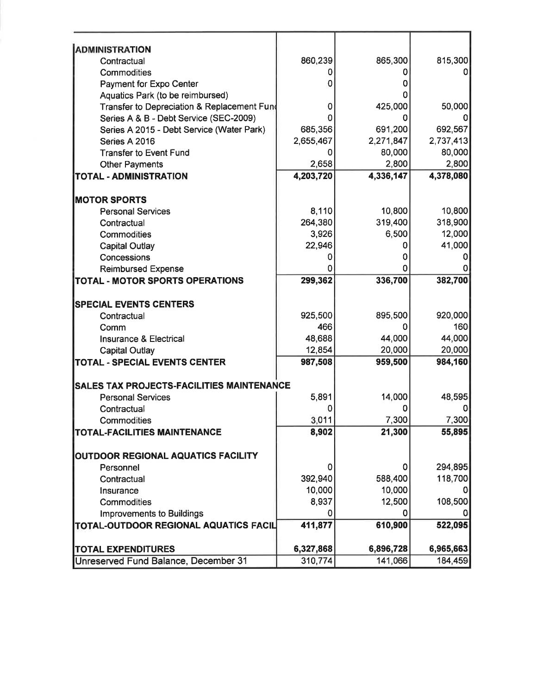| <b>ADMINISTRATION</b>                            |                  |           |           |
|--------------------------------------------------|------------------|-----------|-----------|
| Contractual                                      | 860,239          | 865,300   | 815,300   |
| Commodities                                      |                  |           |           |
| Payment for Expo Center                          |                  |           |           |
| Aquatics Park (to be reimbursed)                 |                  |           |           |
| Transfer to Depreciation & Replacement Fund      | 0                | 425,000   | 50,000    |
| Series A & B - Debt Service (SEC-2009)           |                  |           |           |
| Series A 2015 - Debt Service (Water Park)        | 685,356          | 691,200   | 692,567   |
| Series A 2016                                    | 2,655,467        | 2,271,847 | 2,737,413 |
| <b>Transfer to Event Fund</b>                    | 0                | 80,000    | 80,000    |
| <b>Other Payments</b>                            | 2,658            | 2,800     | 2,800     |
| <b>TOTAL - ADMINISTRATION</b>                    | 4,203,720        | 4,336,147 | 4,378,080 |
|                                                  |                  |           |           |
| <b>MOTOR SPORTS</b>                              |                  | 10,800    | 10,800    |
| <b>Personal Services</b>                         | 8,110<br>264,380 | 319,400   | 318,900   |
| Contractual                                      | 3,926            | 6,500     | 12,000    |
| Commodities                                      | 22,946           |           | 41,000    |
| <b>Capital Outlay</b>                            |                  |           |           |
| Concessions                                      |                  |           |           |
| <b>Reimbursed Expense</b>                        |                  |           | 382,700   |
| TOTAL - MOTOR SPORTS OPERATIONS                  | 299,362          | 336,700   |           |
| <b>SPECIAL EVENTS CENTERS</b>                    |                  |           |           |
| Contractual                                      | 925,500          | 895,500   | 920,000   |
| Comm                                             | 466              |           | 160       |
| <b>Insurance &amp; Electrical</b>                | 48,688           | 44,000    | 44,000    |
| <b>Capital Outlay</b>                            | 12,854           | 20,000    | 20,000    |
| <b>TOTAL - SPECIAL EVENTS CENTER</b>             | 987,508          | 959,500   | 984,160   |
| <b>SALES TAX PROJECTS-FACILITIES MAINTENANCE</b> |                  |           |           |
| <b>Personal Services</b>                         | 5,891            | 14,000    | 48,595    |
| Contractual                                      |                  |           |           |
| Commodities                                      | 3,011            | 7,300     | 7,300     |
| <b>TOTAL-FACILITIES MAINTENANCE</b>              | 8,902            | 21,300    | 55,895    |
|                                                  |                  |           |           |
| <b>OUTDOOR REGIONAL AQUATICS FACILITY</b>        |                  |           |           |
| Personnel                                        | 0                | 0         | 294,895   |
| Contractual                                      | 392,940          | 588,400   | 118,700   |
| Insurance                                        | 10,000           | 10,000    |           |
| Commodities                                      | 8,937            | 12,500    | 108,500   |
| <b>Improvements to Buildings</b>                 | 0                | 0         |           |
| TOTAL-OUTDOOR REGIONAL AQUATICS FACIL            | 411,877          | 610,900   | 522,095   |
|                                                  |                  |           |           |
| <b>TOTAL EXPENDITURES</b>                        | 6,327,868        | 6,896,728 | 6,965,663 |
| Unreserved Fund Balance, December 31             | 310,774          | 141,066   | 184,459   |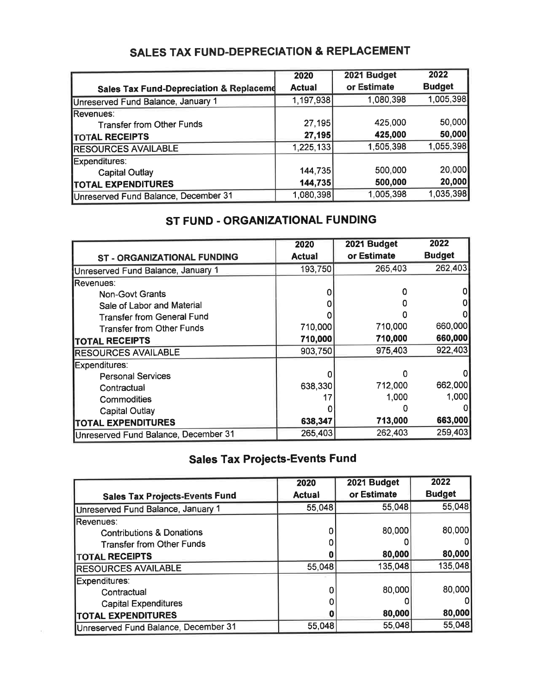|                                                    | 2020          | 2021 Budget | 2022          |
|----------------------------------------------------|---------------|-------------|---------------|
| <b>Sales Tax Fund-Depreciation &amp; Replaceme</b> | <b>Actual</b> | or Estimate | <b>Budget</b> |
| Unreserved Fund Balance, January 1                 | 1,197,938     | 1,080,398   | 1,005,398     |
| <b>IRevenues:</b>                                  |               |             |               |
| <b>Transfer from Other Funds</b>                   | 27,195        | 425,000     | 50,000        |
| <b>TOTAL RECEIPTS</b>                              | 27,195        | 425,000     | 50,000        |
| <b>RESOURCES AVAILABLE</b>                         | 1,225,133     | 1,505,398   | 1,055,398     |
| Expenditures:                                      |               |             |               |
| <b>Capital Outlay</b>                              | 144,735       | 500,000     | 20,000        |
| <b>ITOTAL EXPENDITURES</b>                         | 144,735       | 500,000     | 20,000        |
| Unreserved Fund Balance, December 31               | 1,080,398     | 1,005,398   | 1,035,398     |

# **SALES TAX FUND-DEPRECIATION & REPLACEMENT**

# ST FUND - ORGANIZATIONAL FUNDING

|                                      | 2020          | 2021 Budget | 2022          |
|--------------------------------------|---------------|-------------|---------------|
| ST - ORGANIZATIONAL FUNDING          | <b>Actual</b> | or Estimate | <b>Budget</b> |
| Unreserved Fund Balance, January 1   | 193,750       | 265,403     | 262,403       |
| Revenues:                            |               |             |               |
| <b>Non-Govt Grants</b>               |               |             |               |
| Sale of Labor and Material           |               |             |               |
| <b>Transfer from General Fund</b>    |               |             |               |
| <b>Transfer from Other Funds</b>     | 710,000       | 710,000     | 660,000       |
| <b>TOTAL RECEIPTS</b>                | 710,000       | 710,000     | 660,000       |
| <b>RESOURCES AVAILABLE</b>           | 903,750       | 975,403     | 922,403       |
| Expenditures:                        |               |             |               |
| <b>Personal Services</b>             |               |             | 01            |
| Contractual                          | 638,330       | 712,000     | 662,000       |
| Commodities                          |               | 1,000       | 1,000         |
| <b>Capital Outlay</b>                |               |             | 0             |
| <b>TOTAL EXPENDITURES</b>            | 638,347       | 713,000     | 663,000       |
| Unreserved Fund Balance, December 31 | 265,403       | 262,403     | 259,403       |

# **Sales Tax Projects-Events Fund**

|                                       | 2020          | 2021 Budget | 2022          |
|---------------------------------------|---------------|-------------|---------------|
| <b>Sales Tax Projects-Events Fund</b> | <b>Actual</b> | or Estimate | <b>Budget</b> |
| Unreserved Fund Balance, January 1    | 55,048        | 55,048      | 55,048        |
| lRevenues:                            |               |             |               |
| <b>Contributions &amp; Donations</b>  |               | 80,000      | 80,000        |
| <b>Transfer from Other Funds</b>      |               |             |               |
| <b>TOTAL RECEIPTS</b>                 |               | 80,000      | 80,000        |
| <b>RESOURCES AVAILABLE</b>            | 55,048        | 135,048     | 135,048       |
| Expenditures:                         |               |             |               |
| Contractual                           |               | 80,000      | 80,000        |
| <b>Capital Expenditures</b>           |               |             | 01            |
| <b>TOTAL EXPENDITURES</b>             |               | 80,000      | 80,000        |
| Unreserved Fund Balance, December 31  | 55,048        | 55,048      | 55,048        |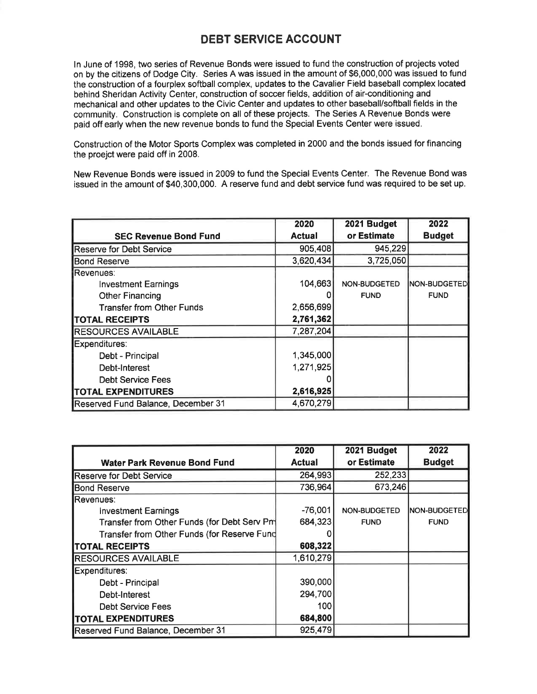## **DEBT SERVICE ACCOUNT**

In June of 1998, two series of Revenue Bonds were issued to fund the construction of projects voted on by the citizens of Dodge City. Series A was issued in the amount of \$6,000,000 was issued to fund the construction of a fourplex softball complex, updates to the Cavalier Field baseball complex located behind Sheridan Activity Center, construction of soccer fields, addition of air-conditioning and mechanical and other updates to the Civic Center and updates to other baseball/softball fields in the community. Construction is complete on all of these projects. The Series A Revenue Bonds were paid off early when the new revenue bonds to fund the Special Events Center were issued.

Construction of the Motor Sports Complex was completed in 2000 and the bonds issued for financing the proejct were paid off in 2008.

New Revenue Bonds were issued in 2009 to fund the Special Events Center. The Revenue Bond was issued in the amount of \$40,300,000. A reserve fund and debt service fund was required to be set up.

|                                    | 2020          | 2021 Budget  | 2022          |
|------------------------------------|---------------|--------------|---------------|
| <b>SEC Revenue Bond Fund</b>       | <b>Actual</b> | or Estimate  | <b>Budget</b> |
| <b>Reserve for Debt Service</b>    | 905,408       | 945,229      |               |
| <b>Bond Reserve</b>                | 3,620,434     | 3,725,050    |               |
| Revenues:                          |               |              |               |
| <b>Investment Earnings</b>         | 104,663       | NON-BUDGETED | NON-BUDGETED  |
| <b>Other Financing</b>             |               | <b>FUND</b>  | <b>FUND</b>   |
| <b>Transfer from Other Funds</b>   | 2,656,699     |              |               |
| <b>TOTAL RECEIPTS</b>              | 2,761,362     |              |               |
| <b>RESOURCES AVAILABLE</b>         | 7,287,204     |              |               |
| Expenditures:                      |               |              |               |
| Debt - Principal                   | 1,345,000     |              |               |
| Debt-Interest                      | 1,271,925     |              |               |
| <b>Debt Service Fees</b>           |               |              |               |
| <b>TOTAL EXPENDITURES</b>          | 2,616,925     |              |               |
| Reserved Fund Balance, December 31 | 4,670,279     |              |               |

|                                             | 2020          | 2021 Budget         | 2022                |
|---------------------------------------------|---------------|---------------------|---------------------|
| <b>Water Park Revenue Bond Fund</b>         | <b>Actual</b> | or Estimate         | <b>Budget</b>       |
| <b>Reserve for Debt Service</b>             | 264,993       | 252,233             |                     |
| <b>Bond Reserve</b>                         | 736,964       | 673,246             |                     |
| Revenues:                                   |               |                     |                     |
| <b>Investment Earnings</b>                  | $-76,001$     | <b>NON-BUDGETED</b> | <b>NON-BUDGETED</b> |
| Transfer from Other Funds (for Debt Serv Pm | 684,323       | <b>FUND</b>         | <b>FUND</b>         |
| Transfer from Other Funds (for Reserve Fund |               |                     |                     |
| <b>TOTAL RECEIPTS</b>                       | 608,322       |                     |                     |
| <b>RESOURCES AVAILABLE</b>                  | 1,610,279     |                     |                     |
| Expenditures:                               |               |                     |                     |
| Debt - Principal                            | 390,000       |                     |                     |
| Debt-Interest                               | 294,700       |                     |                     |
| <b>Debt Service Fees</b>                    | 100           |                     |                     |
| <b>TOTAL EXPENDITURES</b>                   | 684,800       |                     |                     |
| Reserved Fund Balance, December 31          | 925,479       |                     |                     |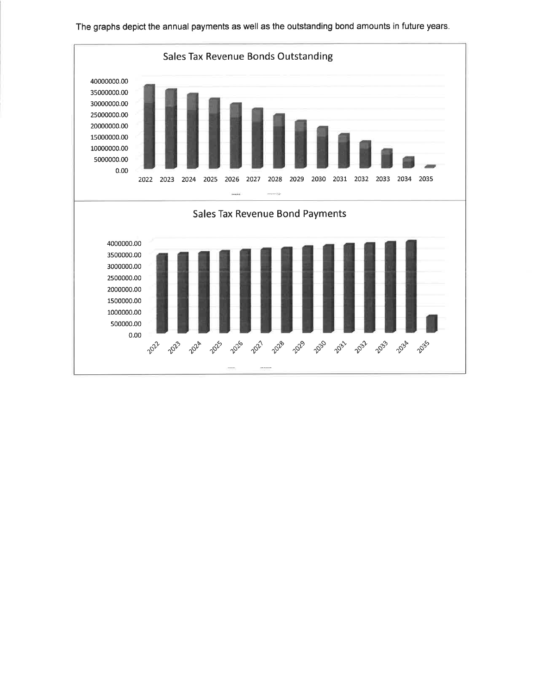

The graphs depict the annual payments as well as the outstanding bond amounts in future years.